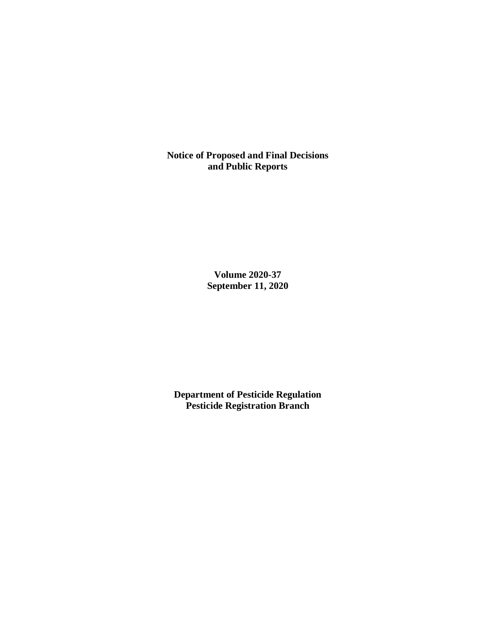**Notice of Proposed and Final Decisions and Public Reports**

> **Volume 2020-37 September 11, 2020**

**Department of Pesticide Regulation Pesticide Registration Branch**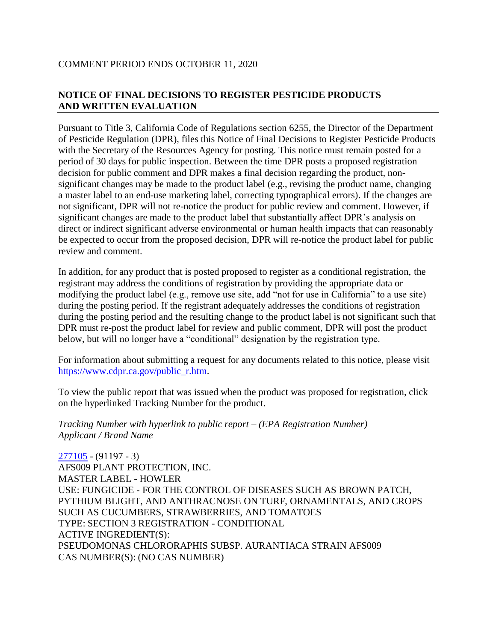## COMMENT PERIOD ENDS OCTOBER 11, 2020

# **NOTICE OF FINAL DECISIONS TO REGISTER PESTICIDE PRODUCTS AND WRITTEN EVALUATION**

Pursuant to Title 3, California Code of Regulations section 6255, the Director of the Department of Pesticide Regulation (DPR), files this Notice of Final Decisions to Register Pesticide Products with the Secretary of the Resources Agency for posting. This notice must remain posted for a period of 30 days for public inspection. Between the time DPR posts a proposed registration decision for public comment and DPR makes a final decision regarding the product, nonsignificant changes may be made to the product label (e.g., revising the product name, changing a master label to an end-use marketing label, correcting typographical errors). If the changes are not significant, DPR will not re-notice the product for public review and comment. However, if significant changes are made to the product label that substantially affect DPR's analysis on direct or indirect significant adverse environmental or human health impacts that can reasonably be expected to occur from the proposed decision, DPR will re-notice the product label for public review and comment.

In addition, for any product that is posted proposed to register as a conditional registration, the registrant may address the conditions of registration by providing the appropriate data or modifying the product label (e.g., remove use site, add "not for use in California" to a use site) during the posting period. If the registrant adequately addresses the conditions of registration during the posting period and the resulting change to the product label is not significant such that DPR must re-post the product label for review and public comment, DPR will post the product below, but will no longer have a "conditional" designation by the registration type.

For information about submitting a request for any documents related to this notice, please visit [https://www.cdpr.ca.gov/public\\_r.htm.](https://www.cdpr.ca.gov/public_r.htm)

To view the public report that was issued when the product was proposed for registration, click on the hyperlinked Tracking Number for the product.

*Tracking Number with hyperlink to public report – (EPA Registration Number) Applicant / Brand Name*

[277105](https://www.cdpr.ca.gov/docs/registration/nod/public_reports/277105.pdf) - (91197 - 3) AFS009 PLANT PROTECTION, INC. MASTER LABEL - HOWLER USE: FUNGICIDE - FOR THE CONTROL OF DISEASES SUCH AS BROWN PATCH, PYTHIUM BLIGHT, AND ANTHRACNOSE ON TURF, ORNAMENTALS, AND CROPS SUCH AS CUCUMBERS, STRAWBERRIES, AND TOMATOES TYPE: SECTION 3 REGISTRATION - CONDITIONAL ACTIVE INGREDIENT(S): PSEUDOMONAS CHLORORAPHIS SUBSP. AURANTIACA STRAIN AFS009 CAS NUMBER(S): (NO CAS NUMBER)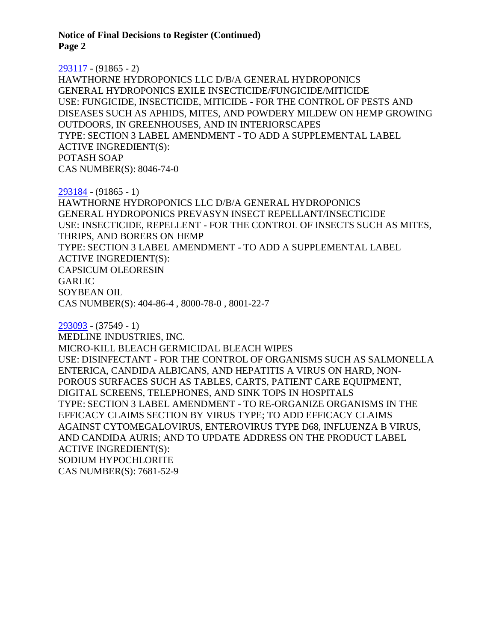**Notice of Final Decisions to Register (Continued) Page 2**

#### [293117](https://www.cdpr.ca.gov/docs/registration/nod/public_reports/293117.pdf) - (91865 - 2)

HAWTHORNE HYDROPONICS LLC D/B/A GENERAL HYDROPONICS GENERAL HYDROPONICS EXILE INSECTICIDE/FUNGICIDE/MITICIDE USE: FUNGICIDE, INSECTICIDE, MITICIDE - FOR THE CONTROL OF PESTS AND DISEASES SUCH AS APHIDS, MITES, AND POWDERY MILDEW ON HEMP GROWING OUTDOORS, IN GREENHOUSES, AND IN INTERIORSCAPES TYPE: SECTION 3 LABEL AMENDMENT - TO ADD A SUPPLEMENTAL LABEL ACTIVE INGREDIENT(S): POTASH SOAP CAS NUMBER(S): 8046-74-0

[293184](https://www.cdpr.ca.gov/docs/registration/nod/public_reports/293184.pdf) - (91865 - 1) HAWTHORNE HYDROPONICS LLC D/B/A GENERAL HYDROPONICS GENERAL HYDROPONICS PREVASYN INSECT REPELLANT/INSECTICIDE USE: INSECTICIDE, REPELLENT - FOR THE CONTROL OF INSECTS SUCH AS MITES, THRIPS, AND BORERS ON HEMP TYPE: SECTION 3 LABEL AMENDMENT - TO ADD A SUPPLEMENTAL LABEL ACTIVE INGREDIENT(S): CAPSICUM OLEORESIN GARLIC SOYBEAN OIL CAS NUMBER(S): 404-86-4 , 8000-78-0 , 8001-22-7

[293093](https://www.cdpr.ca.gov/docs/registration/nod/public_reports/293093.pdf) - (37549 - 1) MEDLINE INDUSTRIES, INC. MICRO-KILL BLEACH GERMICIDAL BLEACH WIPES USE: DISINFECTANT - FOR THE CONTROL OF ORGANISMS SUCH AS SALMONELLA ENTERICA, CANDIDA ALBICANS, AND HEPATITIS A VIRUS ON HARD, NON-POROUS SURFACES SUCH AS TABLES, CARTS, PATIENT CARE EQUIPMENT, DIGITAL SCREENS, TELEPHONES, AND SINK TOPS IN HOSPITALS TYPE: SECTION 3 LABEL AMENDMENT - TO RE-ORGANIZE ORGANISMS IN THE EFFICACY CLAIMS SECTION BY VIRUS TYPE; TO ADD EFFICACY CLAIMS AGAINST CYTOMEGALOVIRUS, ENTEROVIRUS TYPE D68, INFLUENZA B VIRUS, AND CANDIDA AURIS; AND TO UPDATE ADDRESS ON THE PRODUCT LABEL ACTIVE INGREDIENT(S): SODIUM HYPOCHLORITE CAS NUMBER(S): 7681-52-9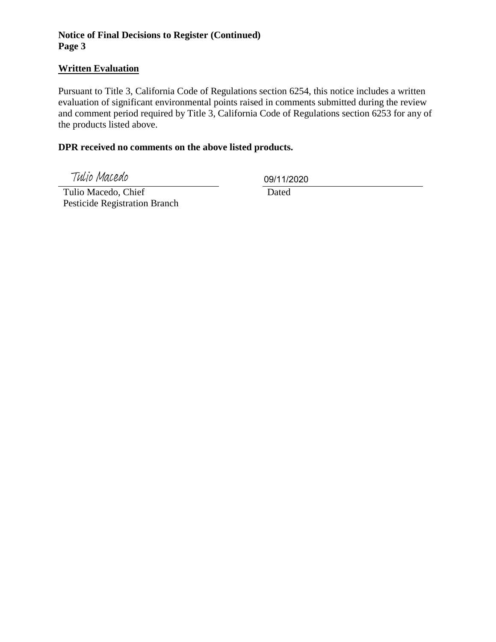## **Notice of Final Decisions to Register (Continued) Page 3**

## **Written Evaluation**

Pursuant to Title 3, California Code of Regulations section 6254, this notice includes a written evaluation of significant environmental points raised in comments submitted during the review and comment period required by Title 3, California Code of Regulations section 6253 for any of the products listed above.

### **DPR received no comments on the above listed products.**

Tulio Macedo

09/11/2020

 Tulio Macedo, Chief Pesticide Registration Branch

Dated